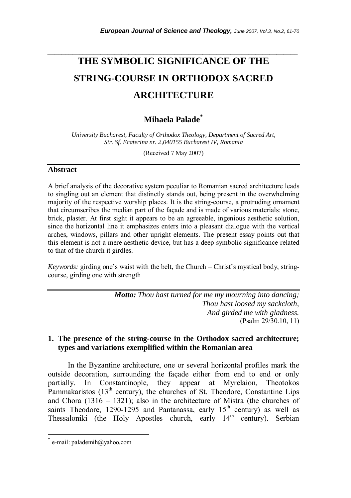# **THE SYMBOLIC SIGNIFICANCE OF THE STRING-COURSE IN ORTHODOX SACRED ARCHITECTURE**

*\_\_\_\_\_\_\_\_\_\_\_\_\_\_\_\_\_\_\_\_\_\_\_\_\_\_\_\_\_\_\_\_\_\_\_\_\_\_\_\_\_\_\_\_\_\_\_\_\_\_\_\_\_\_\_\_\_\_\_\_\_\_\_\_\_\_\_\_\_\_\_* 

# **Mihaela Palade\***

*University Bucharest, Faculty of Orthodox Theology, Department of Sacred Art, Str. Sf. Ecaterina nr. 2,040155 Bucharest IV, Romania* 

(Received 7 May 2007)

## **Abstract**

A brief analysis of the decorative system peculiar to Romanian sacred architecture leads to singling out an element that distinctly stands out, being present in the overwhelming majority of the respective worship places. It is the string-course, a protruding ornament that circumscribes the median part of the façade and is made of various materials: stone, brick, plaster. At first sight it appears to be an agreeable, ingenious aesthetic solution, since the horizontal line it emphasizes enters into a pleasant dialogue with the vertical arches, windows, pillars and other upright elements. The present essay points out that this element is not a mere aesthetic device, but has a deep symbolic significance related to that of the church it girdles.

*Keywords:* girding one's waist with the belt, the Church – Christ's mystical body, stringcourse, girding one with strength

> *Motto: Thou hast turned for me my mourning into dancing; Thou hast loosed my sackcloth, And girded me with gladness.*  (Psalm 29/30.10, 11)

# **1. The presence of the string-course in the Orthodox sacred architecture; types and variations exemplified within the Romanian area**

In the Byzantine architecture, one or several horizontal profiles mark the outside decoration, surrounding the façade either from end to end or only partially. In Constantinople, they appear at Myrelaion, Theotokos Pammakaristos  $(13<sup>th</sup>$  century), the churches of St. Theodore, Constantine Lips and Chora  $(1316 - 1321)$ ; also in the architecture of Mistra (the churches of saints Theodore, 1290-1295 and Pantanassa, early  $15<sup>th</sup>$  century) as well as Thessaloniki (the Holy Apostles church, early  $14<sup>th</sup>$  century). Serbian

l

e-mail: palademih@yahoo.com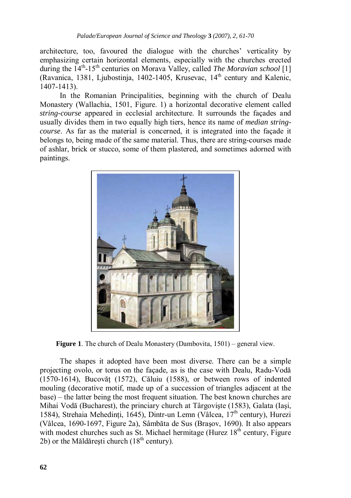architecture, too, favoured the dialogue with the churches' verticality by emphasizing certain horizontal elements, especially with the churches erected during the  $14<sup>th</sup> - 15<sup>th</sup>$  centuries on Morava Valley, called *The Moravian school* [1] (Ravanica, 1381, Ljubostinja, 1402-1405, Krusevac,  $14<sup>th</sup>$  century and Kalenic, 1407-1413).

In the Romanian Principalities, beginning with the church of Dealu Monastery (Wallachia, 1501, Figure. 1) a horizontal decorative element called *string-course* appeared in ecclesial architecture. It surrounds the façades and usually divides them in two equally high tiers, hence its name of *median stringcourse*. As far as the material is concerned, it is integrated into the façade it belongs to, being made of the same material. Thus, there are string-courses made of ashlar, brick or stucco, some of them plastered, and sometimes adorned with paintings.



**Figure 1**. The church of Dealu Monastery (Dambovita, 1501) – general view.

The shapes it adopted have been most diverse. There can be a simple projecting ovolo, or torus on the façade, as is the case with Dealu, Radu-Vodă  $(1570-1614)$ , Bucovăt  $(1572)$ , Căluiu  $(1588)$ , or between rows of indented mouling (decorative motif, made up of a succession of triangles adjacent at the base) – the latter being the most frequent situation. The best known churches are Mihai Vodă (Bucharest), the princiary church at Târgovişte (1583), Galata (Iaşi, 1584), Strehaia Mehedinti, 1645), Dintr-un Lemn (Vâlcea,  $17<sup>th</sup>$  century), Hurezi (Vâlcea, 1690-1697, Figure 2a), Sâmbăta de Sus (Braşov, 1690). It also appears with modest churches such as St. Michael hermitage (Hurez  $18<sup>th</sup>$  century, Figure 2b) or the Măldărești church ( $18<sup>th</sup>$  century).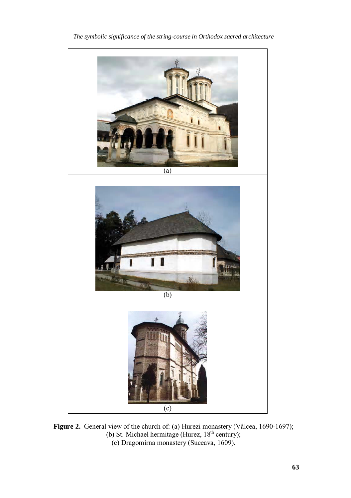

*The symbolic significance of the string-course in Orthodox sacred architecture* 

**Figure 2.** General view of the church of: (a) Hurezi monastery (Vâlcea, 1690-1697); (b) St. Michael hermitage (Hurez,  $18<sup>th</sup>$  century); (c) Dragomirna monastery (Suceava, 1609).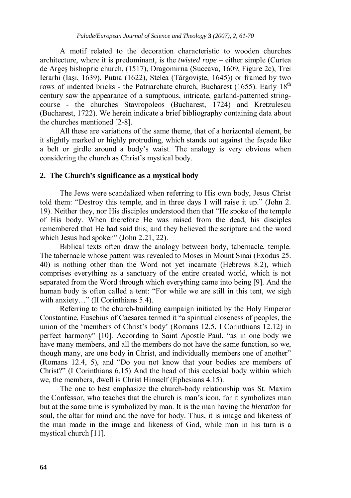A motif related to the decoration characteristic to wooden churches architecture, where it is predominant, is the *twisted rope* – either simple (Curtea de Argeş bishopric church, (1517), Dragomirna (Suceava, 1609, Figure 2c), Trei Ierarhi (Iaşi, 1639), Putna (1622), Stelea (Târgovişte, 1645)) or framed by two rows of indented bricks - the Patriarchate church, Bucharest (1655). Early  $18<sup>th</sup>$ century saw the appearance of a sumptuous, intricate, garland-patterned stringcourse - the churches Stavropoleos (Bucharest, 1724) and Kretzulescu (Bucharest, 1722). We herein indicate a brief bibliography containing data about the churches mentioned [2-8].

All these are variations of the same theme, that of a horizontal element, be it slightly marked or highly protruding, which stands out against the façade like a belt or girdle around a body's waist. The analogy is very obvious when considering the church as Christ's mystical body.

#### **2. The Church's significance as a mystical body**

The Jews were scandalized when referring to His own body, Jesus Christ told them: "Destroy this temple, and in three days I will raise it up." (John 2. 19). Neither they, nor His disciples understood then that "He spoke of the temple of His body. When therefore He was raised from the dead, his disciples remembered that He had said this; and they believed the scripture and the word which Jesus had spoken" (John 2.21, 22).

Biblical texts often draw the analogy between body, tabernacle, temple. The tabernacle whose pattern was revealed to Moses in Mount Sinai (Exodus 25. 40) is nothing other than the Word not yet incarnate (Hebrews 8.2), which comprises everything as a sanctuary of the entire created world, which is not separated from the Word through which everything came into being [9]. And the human body is often called a tent: "For while we are still in this tent, we sigh with anxiety..." (II Corinthians 5.4).

Referring to the church-building campaign initiated by the Holy Emperor Constantine, Eusebius of Caesarea termed it "a spiritual closeness of peoples, the union of the 'members of Christ's body' (Romans 12.5, I Corinthians 12.12) in perfect harmony" [10]. According to Saint Apostle Paul, "as in one body we have many members, and all the members do not have the same function, so we, though many, are one body in Christ, and individually members one of another" (Romans 12.4, 5), and "Do you not know that your bodies are members of Christ?" (I Corinthians 6.15) And the head of this ecclesial body within which we, the members, dwell is Christ Himself (Ephesians 4.15).

The one to best emphasize the church-body relationship was St. Maxim the Confessor, who teaches that the church is man's icon, for it symbolizes man but at the same time is symbolized by man. It is the man having the *hieration* for soul, the altar for mind and the nave for body. Thus, it is image and likeness of the man made in the image and likeness of God, while man in his turn is a mystical church [11].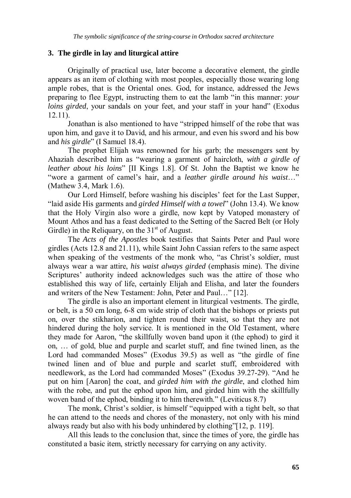# **3. The girdle in lay and liturgical attire**

Originally of practical use, later become a decorative element, the girdle appears as an item of clothing with most peoples, especially those wearing long ample robes, that is the Oriental ones. God, for instance, addressed the Jews preparing to flee Egypt, instructing them to eat the lamb "in this manner: *your loins girded*, your sandals on your feet, and your staff in your hand" (Exodus 12.11).

Jonathan is also mentioned to have "stripped himself of the robe that was upon him, and gave it to David, and his armour, and even his sword and his bow and *his girdle*" (I Samuel 18.4).

The prophet Elijah was renowned for his garb; the messengers sent by Ahaziah described him as "wearing a garment of haircloth, *with a girdle of leather about his loins*" [II Kings 1.8]. Of St. John the Baptist we know he "wore a garment of camel's hair, and a *leather girdle around his waist*…" (Mathew 3.4, Mark 1.6).

Our Lord Himself, before washing his disciples' feet for the Last Supper, "laid aside His garments and *girded Himself with a towel*" (John 13.4). We know that the Holy Virgin also wore a girdle, now kept by Vatoped monastery of Mount Athos and has a feast dedicated to the Setting of the Sacred Belt (or Holy Girdle) in the Religuary, on the  $31<sup>st</sup>$  of August.

The *Acts of the Apostles* book testifies that Saints Peter and Paul wore girdles (Acts 12.8 and 21.11), while Saint John Cassian refers to the same aspect when speaking of the vestments of the monk who, "as Christ's soldier, must always wear a war attire, *his waist always girded* (emphasis mine). The divine Scriptures' authority indeed acknowledges such was the attire of those who established this way of life, certainly Elijah and Elisha, and later the founders and writers of the New Testament: John, Peter and Paul…" [12].

The girdle is also an important element in liturgical vestments. The girdle, or belt, is a 50 cm long, 6-8 cm wide strip of cloth that the bishops or priests put on, over the stikharion, and tighten round their waist, so that they are not hindered during the holy service. It is mentioned in the Old Testament, where they made for Aaron, "the skillfully woven band upon it (the ephod) to gird it on, … of gold, blue and purple and scarlet stuff, and fine twined linen, as the Lord had commanded Moses" (Exodus 39.5) as well as "the girdle of fine twined linen and of blue and purple and scarlet stuff, embroidered with needlework, as the Lord had commanded Moses" (Exodus 39.27-29). "And he put on him [Aaron] the coat, and *girded him with the girdle*, and clothed him with the robe, and put the ephod upon him, and girded him with the skillfully woven band of the ephod, binding it to him therewith." (Leviticus 8.7)

The monk, Christ's soldier, is himself "equipped with a tight belt, so that he can attend to the needs and chores of the monastery, not only with his mind always ready but also with his body unhindered by clothing"[12, p. 119].

All this leads to the conclusion that, since the times of yore, the girdle has constituted a basic item, strictly necessary for carrying on any activity.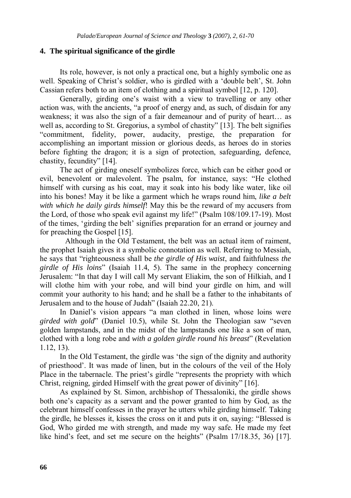#### **4. The spiritual significance of the girdle**

 Its role, however, is not only a practical one, but a highly symbolic one as well. Speaking of Christ's soldier, who is girdled with a 'double belt', St. John Cassian refers both to an item of clothing and a spiritual symbol [12, p. 120].

 Generally, girding one's waist with a view to travelling or any other action was, with the ancients, "a proof of energy and, as such, of disdain for any weakness; it was also the sign of a fair demeanour and of purity of heart… as well as, according to St. Gregorius, a symbol of chastity" [13]. The belt signifies "commitment, fidelity, power, audacity, prestige, the preparation for accomplishing an important mission or glorious deeds, as heroes do in stories before fighting the dragon; it is a sign of protection, safeguarding, defence, chastity, fecundity" [14].

 The act of girding oneself symbolizes force, which can be either good or evil, benevolent or malevolent. The psalm, for instance, says: "He clothed himself with cursing as his coat, may it soak into his body like water, like oil into his bones! May it be like a garment which he wraps round him, *like a belt with which he daily girds himself*! May this be the reward of my accusers from the Lord, of those who speak evil against my life!" (Psalm 108/109.17-19). Most of the times, 'girding the belt' signifies preparation for an errand or journey and for preaching the Gospel [15].

 Although in the Old Testament, the belt was an actual item of raiment, the prophet Isaiah gives it a symbolic connotation as well. Referring to Messiah, he says that "righteousness shall be *the girdle of His waist*, and faithfulness *the girdle of His loins*" (Isaiah 11.4, 5). The same in the prophecy concerning Jerusalem: "In that day I will call My servant Eliakim, the son of Hilkiah, and I will clothe him with your robe, and will bind your girdle on him, and will commit your authority to his hand; and he shall be a father to the inhabitants of Jerusalem and to the house of Judah" (Isaiah 22.20, 21).

 In Daniel's vision appears "a man clothed in linen, whose loins were *girded with gold*" (Daniel 10.5), while St. John the Theologian saw "seven golden lampstands, and in the midst of the lampstands one like a son of man, clothed with a long robe and *with a golden girdle round his breast*" (Revelation 1.12, 13).

 In the Old Testament, the girdle was 'the sign of the dignity and authority of priesthood'. It was made of linen, but in the colours of the veil of the Holy Place in the tabernacle. The priest's girdle "represents the propriety with which Christ, reigning, girded Himself with the great power of divinity" [16].

 As explained by St. Simon, archbishop of Thessaloniki, the girdle shows both one's capacity as a servant and the power granted to him by God, as the celebrant himself confesses in the prayer he utters while girding himself. Taking the girdle, he blesses it, kisses the cross on it and puts it on, saying: "Blessed is God, Who girded me with strength, and made my way safe. He made my feet like hind's feet, and set me secure on the heights" (Psalm 17/18.35, 36) [17].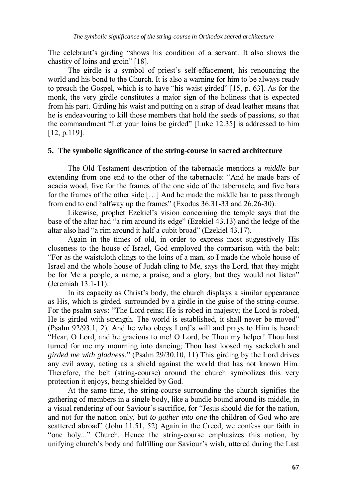The celebrant's girding "shows his condition of a servant. It also shows the chastity of loins and groin" [18].

 The girdle is a symbol of priest's self-effacement, his renouncing the world and his bond to the Church. It is also a warning for him to be always ready to preach the Gospel, which is to have "his waist girded" [15, p. 63]. As for the monk, the very girdle constitutes a major sign of the holiness that is expected from his part. Girding his waist and putting on a strap of dead leather means that he is endeavouring to kill those members that hold the seeds of passions, so that the commandment "Let your loins be girded" [Luke 12.35] is addressed to him [12, p.119].

#### **5. The symbolic significance of the string-course in sacred architecture**

 The Old Testament description of the tabernacle mentions a *middle bar* extending from one end to the other of the tabernacle: "And he made bars of acacia wood, five for the frames of the one side of the tabernacle, and five bars for the frames of the other side […] And he made the middle bar to pass through from end to end halfway up the frames" (Exodus 36.31-33 and 26.26-30).

 Likewise, prophet Ezekiel's vision concerning the temple says that the base of the altar had "a rim around its edge" (Ezekiel 43.13) and the ledge of the altar also had "a rim around it half a cubit broad" (Ezekiel 43.17).

 Again in the times of old, in order to express most suggestively His closeness to the house of Israel, God employed the comparison with the belt: "For as the waistcloth clings to the loins of a man, so I made the whole house of Israel and the whole house of Judah cling to Me, says the Lord, that they might be for Me a people, a name, a praise, and a glory, but they would not listen" (Jeremiah 13.1-11).

 In its capacity as Christ's body, the church displays a similar appearance as His, which is girded, surrounded by a girdle in the guise of the string-course. For the psalm says: "The Lord reins; He is robed in majesty; the Lord is robed, He is girded with strength. The world is established, it shall never be moved" (Psalm 92/93.1, 2). And he who obeys Lord's will and prays to Him is heard: "Hear, O Lord, and be gracious to me! O Lord, be Thou my helper! Thou hast turned for me my mourning into dancing; Thou hast loosed my sackcloth and *girded me with gladness.*" (Psalm 29/30.10, 11) This girding by the Lord drives any evil away, acting as a shield against the world that has not known Him. Therefore, the belt (string-course) around the church symbolizes this very protection it enjoys, being shielded by God.

 At the same time, the string-course surrounding the church signifies the gathering of members in a single body, like a bundle bound around its middle, in a visual rendering of our Saviour's sacrifice, for "Jesus should die for the nation, and not for the nation only, but *to gather into one* the children of God who are scattered abroad" (John 11.51, 52) Again in the Creed, we confess our faith in "one holy..." Church. Hence the string-course emphasizes this notion, by unifying church's body and fulfilling our Saviour's wish, uttered during the Last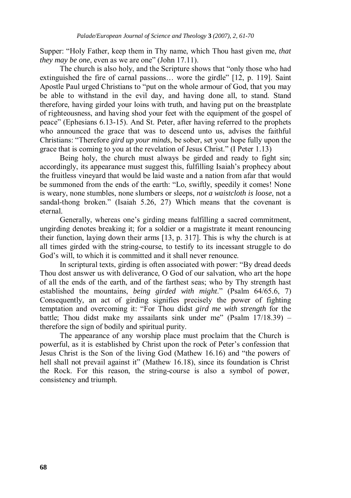Supper: "Holy Father, keep them in Thy name, which Thou hast given me, *that they may be one*, even as we are one" (John 17.11).

 The church is also holy, and the Scripture shows that "only those who had extinguished the fire of carnal passions… wore the girdle" [12, p. 119]. Saint Apostle Paul urged Christians to "put on the whole armour of God, that you may be able to withstand in the evil day, and having done all, to stand. Stand therefore, having girded your loins with truth, and having put on the breastplate of righteousness, and having shod your feet with the equipment of the gospel of peace" (Ephesians 6.13-15). And St. Peter, after having referred to the prophets who announced the grace that was to descend unto us, advises the faithful Christians: "Therefore *gird up your minds*, be sober, set your hope fully upon the grace that is coming to you at the revelation of Jesus Christ." (I Peter 1.13)

 Being holy, the church must always be girded and ready to fight sin; accordingly, its appearance must suggest this, fulfilling Isaiah's prophecy about the fruitless vineyard that would be laid waste and a nation from afar that would be summoned from the ends of the earth: "Lo, swiftly, speedily it comes! None is weary, none stumbles, none slumbers or sleeps, *not a waistcloth is loose*, not a sandal-thong broken." (Isaiah 5.26, 27) Which means that the covenant is eternal.

 Generally, whereas one's girding means fulfilling a sacred commitment, ungirding denotes breaking it; for a soldier or a magistrate it meant renouncing their function, laying down their arms [13, p. 317]. This is why the church is at all times girded with the string-course, to testify to its incessant struggle to do God's will, to which it is committed and it shall never renounce.

 In scriptural texts, girding is often associated with power: "By dread deeds Thou dost answer us with deliverance, O God of our salvation, who art the hope of all the ends of the earth, and of the farthest seas; who by Thy strength hast established the mountains, *being girded with might*." (Psalm 64/65.6, 7) Consequently, an act of girding signifies precisely the power of fighting temptation and overcoming it: "For Thou didst *gird me with strength* for the battle; Thou didst make my assailants sink under me" (Psalm 17/18.39) – therefore the sign of bodily and spiritual purity.

The appearance of any worship place must proclaim that the Church is powerful, as it is established by Christ upon the rock of Peter's confession that Jesus Christ is the Son of the living God (Mathew 16.16) and "the powers of hell shall not prevail against it" (Mathew 16.18), since its foundation is Christ the Rock. For this reason, the string-course is also a symbol of power, consistency and triumph.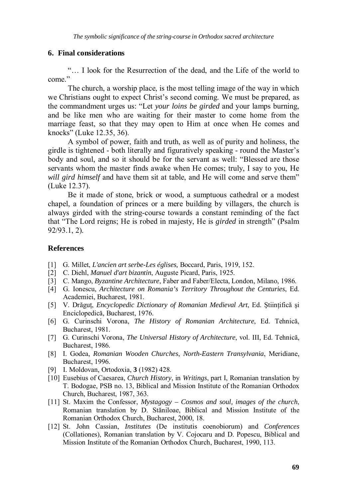## **6. Final considerations**

"… I look for the Resurrection of the dead, and the Life of the world to come."

The church, a worship place, is the most telling image of the way in which we Christians ought to expect Christ's second coming. We must be prepared, as the commandment urges us: "Let *your loins be girded* and your lamps burning, and be like men who are waiting for their master to come home from the marriage feast, so that they may open to Him at once when He comes and knocks" (Luke 12.35, 36).

A symbol of power, faith and truth, as well as of purity and holiness, the girdle is tightened - both literally and figuratively speaking - round the Master's body and soul, and so it should be for the servant as well: "Blessed are those servants whom the master finds awake when He comes; truly, I say to you, He *will gird himself* and have them sit at table, and He will come and serve them" (Luke 12.37).

Be it made of stone, brick or wood, a sumptuous cathedral or a modest chapel, a foundation of princes or a mere building by villagers, the church is always girded with the string-course towards a constant reminding of the fact that "The Lord reigns; He is robed in majesty, He is *girded* in strength" (Psalm 92/93.1, 2).

#### **References**

- [1] G. Millet, *L'ancien art serbe-Les églises,* Boccard, Paris, 1919, 152.
- [2] C. Diehl, *Manuel d'art bizantin*, Auguste Picard, Paris, 1925.
- [3] C. Mango, *Byzantine Architecture*, Faber and Faber/Electa, London, Milano, 1986.
- [4] G. Ionescu, *Architecture on Romania's Territory Throughout the Centuries*, Ed. Academiei, Bucharest, 1981.
- [5] V. Drăguţ, *Encyclopedic Dictionary of Romanian Medieval Art*, Ed. Ştiinţifică şi Enciclopedică, Bucharest, 1976.
- [6] G. Curinschi Vorona, *The History of Romanian Architecture*, Ed. Tehnică, Bucharest, 1981.
- [7] G. Curinschi Vorona, *The Universal History of Architecture*, vol. III, Ed. Tehnică, Bucharest, 1986.
- [8] I. Godea, *Romanian Wooden Churches*, *North-Eastern Transylvania*, Meridiane, Bucharest, 1996.
- [9] I. Moldovan, Ortodoxia, **3** (1982) 428.
- [10] Eusebius of Caesarea, *Church History*, in *Writings*, part I, Romanian translation by T. Bodogae, PSB no. 13, Biblical and Mission Institute of the Romanian Orthodox Church, Bucharest, 1987, 363.
- [11] St. Maxim the Confessor, *Mystagogy Cosmos and soul, images of the church*, Romanian translation by D. Stăniloae, Biblical and Mission Institute of the Romanian Orthodox Church, Bucharest, 2000, 18.
- [12] St. John Cassian, *Institutes* (De institutis coenobiorum) and *Conferences* (Collationes), Romanian translation by V. Cojocaru and D. Popescu, Biblical and Mission Institute of the Romanian Orthodox Church, Bucharest, 1990, 113.